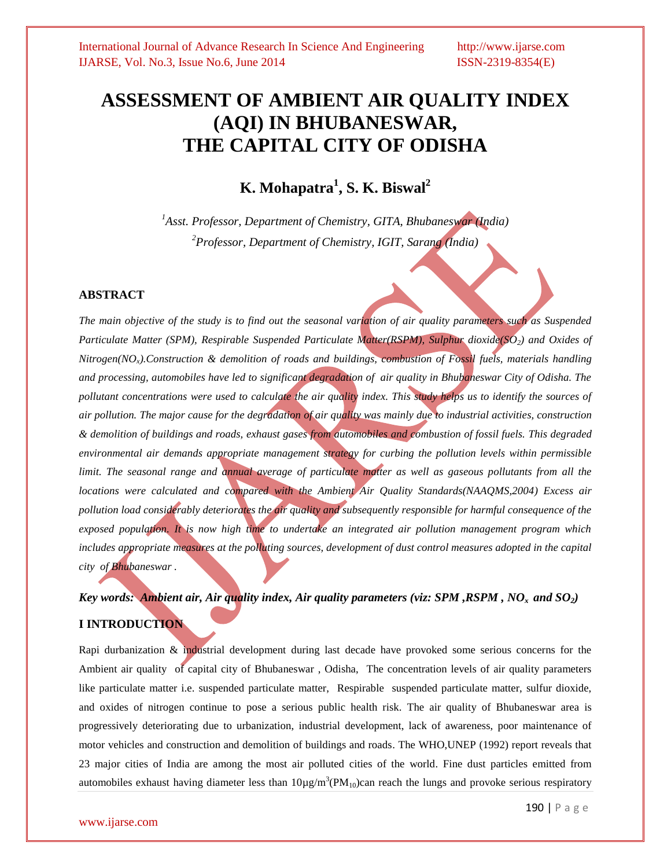# **ASSESSMENT OF AMBIENT AIR QUALITY INDEX (AQI) IN BHUBANESWAR, THE CAPITAL CITY OF ODISHA**

# **K. Mohapatra<sup>1</sup> , S. K. Biswal<sup>2</sup>**

*<sup>1</sup>Asst. Professor, Department of Chemistry, GITA, Bhubaneswar (India) <sup>2</sup>Professor, Department of Chemistry, IGIT, Sarang (India)*

#### **ABSTRACT**

*The main objective of the study is to find out the seasonal variation of air quality parameters such as Suspended Particulate Matter (SPM), Respirable Suspended Particulate Matter(RSPM), Sulphur dioxide(SO2) and Oxides of Nitrogen(NOx).Construction & demolition of roads and buildings, combustion of Fossil fuels, materials handling and processing, automobiles have led to significant degradation of air quality in Bhubaneswar City of Odisha. The pollutant concentrations were used to calculate the air quality index. This study helps us to identify the sources of air pollution. The major cause for the degradation of air quality was mainly due to industrial activities, construction & demolition of buildings and roads, exhaust gases from automobiles and combustion of fossil fuels. This degraded environmental air demands appropriate management strategy for curbing the pollution levels within permissible limit. The seasonal range and annual average of particulate matter as well as gaseous pollutants from all the locations were calculated and compared with the Ambient Air Quality Standards(NAAQMS,2004) Excess air pollution load considerably deteriorates the air quality and subsequently responsible for harmful consequence of the exposed population. It is now high time to undertake an integrated air pollution management program which includes appropriate measures at the polluting sources, development of dust control measures adopted in the capital city of Bhubaneswar .*

# *Key words: Ambient air, Air quality index, Air quality parameters (viz: SPM ,RSPM , NO<sup>x</sup> and SO2)* **I INTRODUCTION**

Rapi durbanization & industrial development during last decade have provoked some serious concerns for the Ambient air quality of capital city of Bhubaneswar , Odisha, The concentration levels of air quality parameters like particulate matter i.e. suspended particulate matter, Respirable suspended particulate matter, sulfur dioxide, and oxides of nitrogen continue to pose a serious public health risk. The air quality of Bhubaneswar area is progressively deteriorating due to urbanization, industrial development, lack of awareness, poor maintenance of motor vehicles and construction and demolition of buildings and roads. The WHO,UNEP (1992) report reveals that 23 major cities of India are among the most air polluted cities of the world. Fine dust particles emitted from automobiles exhaust having diameter less than  $10\mu g/m^3 (PM_{10})$ can reach the lungs and provoke serious respiratory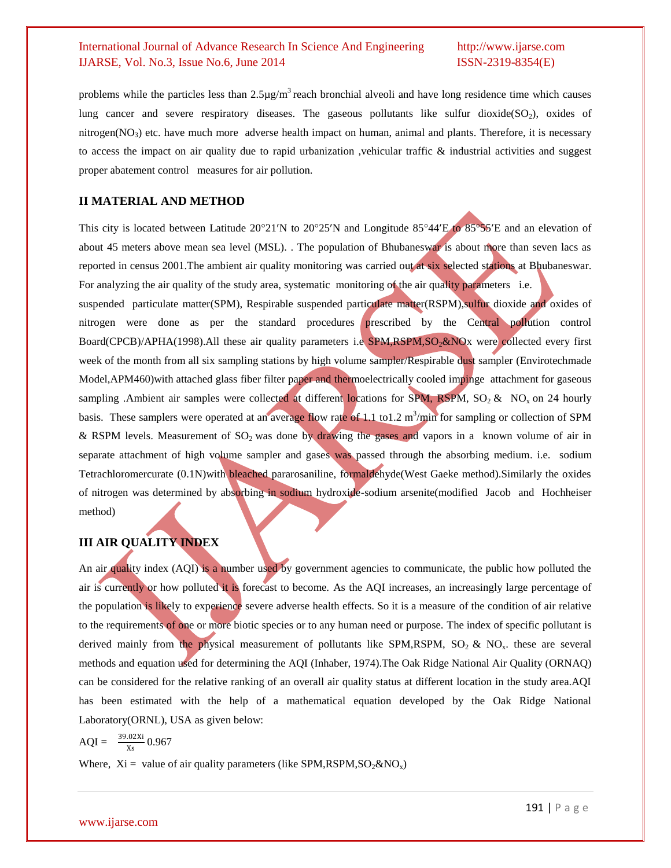problems while the particles less than  $2.5\mu\text{g/m}^3$  reach bronchial alveoli and have long residence time which causes lung cancer and severe respiratory diseases. The gaseous pollutants like sulfur dioxide( $SO<sub>2</sub>$ ), oxides of nitrogen( $NO<sub>3</sub>$ ) etc. have much more adverse health impact on human, animal and plants. Therefore, it is necessary to access the impact on air quality due to rapid urbanization ,vehicular traffic & industrial activities and suggest proper abatement control measures for air pollution.

#### **II MATERIAL AND METHOD**

This city is located between Latitude  $20^{\circ}21'N$  to  $20^{\circ}25'N$  and Longitude 85 $^{\circ}44'E$  to 85 $^{\circ}55'E$  and an elevation of about 45 meters above mean sea level (MSL). . The population of Bhubaneswar is about more than seven lacs as reported in census 2001.The ambient air quality monitoring was carried out at six selected stations at Bhubaneswar. For analyzing the air quality of the study area, systematic monitoring of the air quality parameters i.e.

suspended particulate matter(SPM), Respirable suspended particulate matter(RSPM),sulfur dioxide and oxides of nitrogen were done as per the standard procedures prescribed by the Central pollution control Board(CPCB)/APHA(1998).All these air quality parameters i.e SPM,RSPM,SO<sub>2</sub>&NOx were collected every first week of the month from all six sampling stations by high volume sampler/Respirable dust sampler (Envirotechmade Model,APM460)with attached glass fiber filter paper and thermoelectrically cooled impinge attachment for gaseous sampling .Ambient air samples were collected at different locations for SPM, RSPM,  $SO_2 \& NO_x$  on 24 hourly basis. These samplers were operated at an average flow rate of 1.1 to1.2 m<sup>3</sup>/min for sampling or collection of SPM & RSPM levels. Measurement of SO<sub>2</sub> was done by drawing the gases and vapors in a known volume of air in separate attachment of high volume sampler and gases was passed through the absorbing medium. i.e. sodium Tetrachloromercurate (0.1N)with bleached pararosaniline, formaldehyde(West Gaeke method).Similarly the oxides of nitrogen was determined by absorbing in sodium hydroxide-sodium arsenite(modified Jacob and Hochheiser method)

# **III AIR QUALITY INDEX**

An air quality index (AQI) is a number used by government agencies to communicate, the public how polluted the air is currently or how polluted it is forecast to become. As the AQI increases, an increasingly large percentage of the population is likely to experience severe adverse health effects. So it is a measure of the condition of air relative to the requirements of one or more biotic species or to any human need or purpose. The index of specific pollutant is derived mainly from the physical measurement of pollutants like SPM,RSPM,  $SO_2 \& NO_x$ . these are several methods and equation used for determining the AQI (Inhaber, 1974).The Oak Ridge National Air Quality (ORNAQ) can be considered for the relative ranking of an overall air quality status at different location in the study area.AQI has been estimated with the help of a mathematical equation developed by the Oak Ridge National Laboratory(ORNL), USA as given below:

 $AQI = \frac{39.02Xi}{Xi}$  $\frac{0.02 \text{ A}}{\text{Xs}} 0.967$ 

Where,  $Xi =$  value of air quality parameters (like SPM, RSPM,  $SO_2 \& NO_x$ )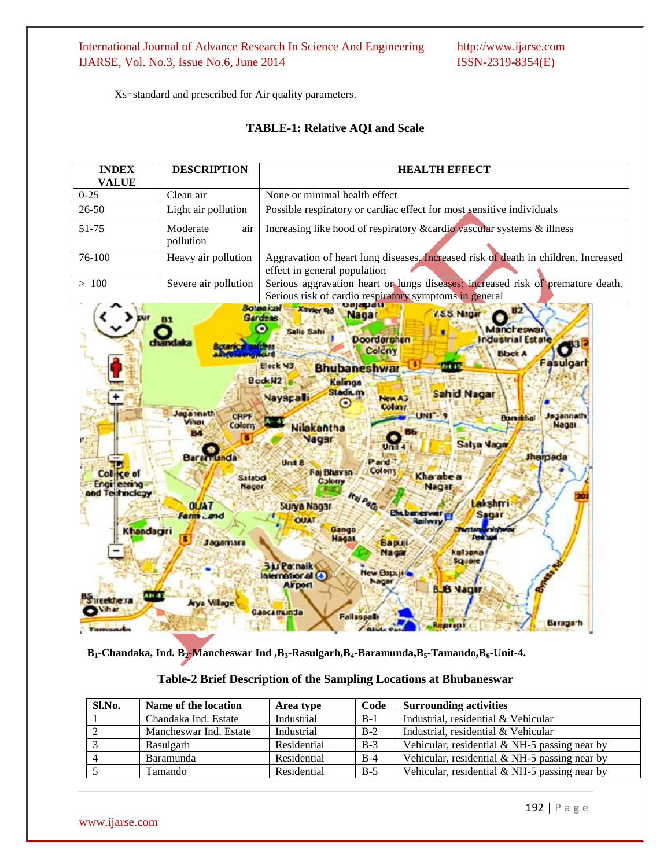Xs=standard and prescribed for Air quality parameters.

# **TABLE-1: Relative AQI and Scale**

| <b>INDEX</b><br><b>VALUE</b>                                                    | <b>DESCRIPTION</b>                                                                                                                                                                      | <b>HEALTH EFFECT</b>                                                                                                                                                                                                                                                                                                                                                                                                                                                                                                                                                                                                                                                                                                                                                                                                                                                                                                                                                                                     |  |  |  |  |  |  |
|---------------------------------------------------------------------------------|-----------------------------------------------------------------------------------------------------------------------------------------------------------------------------------------|----------------------------------------------------------------------------------------------------------------------------------------------------------------------------------------------------------------------------------------------------------------------------------------------------------------------------------------------------------------------------------------------------------------------------------------------------------------------------------------------------------------------------------------------------------------------------------------------------------------------------------------------------------------------------------------------------------------------------------------------------------------------------------------------------------------------------------------------------------------------------------------------------------------------------------------------------------------------------------------------------------|--|--|--|--|--|--|
| $0 - 25$                                                                        | Clean air                                                                                                                                                                               | None or minimal health effect                                                                                                                                                                                                                                                                                                                                                                                                                                                                                                                                                                                                                                                                                                                                                                                                                                                                                                                                                                            |  |  |  |  |  |  |
| $26 - 50$                                                                       | Light air pollution                                                                                                                                                                     | Possible respiratory or cardiac effect for most sensitive individuals                                                                                                                                                                                                                                                                                                                                                                                                                                                                                                                                                                                                                                                                                                                                                                                                                                                                                                                                    |  |  |  |  |  |  |
| 51-75                                                                           | Moderate<br>air<br>pollution                                                                                                                                                            | Increasing like hood of respiratory & cardio vascular systems & illness                                                                                                                                                                                                                                                                                                                                                                                                                                                                                                                                                                                                                                                                                                                                                                                                                                                                                                                                  |  |  |  |  |  |  |
| 76-100                                                                          | Heavy air pollution                                                                                                                                                                     | Aggravation of heart lung diseases. Increased risk of death in children. Increased<br>effect in general population                                                                                                                                                                                                                                                                                                                                                                                                                                                                                                                                                                                                                                                                                                                                                                                                                                                                                       |  |  |  |  |  |  |
| >100                                                                            | Severe air pollution                                                                                                                                                                    | Serious aggravation heart or lungs diseases; increased risk of premature death.<br>Serious risk of cardio respiratory symptoms in general                                                                                                                                                                                                                                                                                                                                                                                                                                                                                                                                                                                                                                                                                                                                                                                                                                                                |  |  |  |  |  |  |
| Col ice of<br>Engilleering<br>and Teitmcleav<br>Khandagri<br>A.H .S<br>Fekhe ra | 81<br>handaka<br><b>Rotarica</b><br>aga math<br>CRPF<br><b>Fhat</b><br>Colony<br>RИ<br><b>Bararnunda</b><br>Satabdi<br>Nagar<br><b>OUAT</b><br><b>Farm Land</b><br>Jagarnara<br>Village | sajapa<br><b>Botankal</b><br><b>Xavier Rd</b><br><b>B2</b><br>V.S.S. Nagar<br>Nagar<br><b>Gardens</b><br><b>Mancheswar</b><br>Salia Sahi<br><b>Doordarshan</b><br><b>Industrial Estate</b><br>æ<br><b>Top Ist</b><br>Colcny<br><b>Black A</b><br><b>Fasulgart</b><br>Elock N3<br>218.45<br><b>Bhubaneshwar</b><br><b>Book W2</b><br>Kalinga<br>Stadium<br><b>Sahid Nagar</b><br><b>Nayapati</b><br>New A3<br>Colon/<br><b>UNITS</b><br>sgannath<br><b>Bornikhal</b><br>Nagar<br><b>Nilakantha</b><br><b>Nagar</b><br>Satya Vagar<br>Unii<br><b>Jharpada</b><br>Pand <sup>:</sup><br>Unit 8<br>Colony<br><b>Faj Bhavan</b><br>Kha abe a<br>Colony<br>Nagar<br>Raj Path<br>Lakshmi<br>Surya Nagar<br>Ehtbaneswar,<br>Sagar<br><b>OUAT</b><br>Railway<br>Gango<br><b>WITHOUT</b><br>Policien<br>Hagar<br><b>Bapuji</b><br>Nagar<br>Kalsana<br>Square<br><b>Bu Parnaik</b><br>New Baptite<br>International (+)<br>Nagar<br><b>Airport</b><br><b>BJB Nagar</b><br>Gancamunda<br><b>Fallsspall</b><br>Baraga h |  |  |  |  |  |  |

 **B1-Chandaka, Ind. B2-Mancheswar Ind ,B3-Rasulgarh,B4-Baramunda,B5-Tamando,B6-Unit-4.**

| Sl.No. | Name of the location   | Area type   | Code  | <b>Surrounding activities</b>                   |
|--------|------------------------|-------------|-------|-------------------------------------------------|
|        | Chandaka Ind. Estate   | Industrial  | $B-1$ | Industrial, residential & Vehicular             |
|        | Mancheswar Ind. Estate | Industrial  | $B-2$ | Industrial, residential & Vehicular             |
|        | Rasulgarh              | Residential | $B-3$ | Vehicular, residential & NH-5 passing near by   |
|        | Baramunda              | Residential | $B-4$ | Vehicular, residential $& NH-5$ passing near by |
|        | Tamando                | Residential | $B-5$ | Vehicular, residential $& NH-5$ passing near by |

# **Table-2 Brief Description of the Sampling Locations at Bhubaneswar**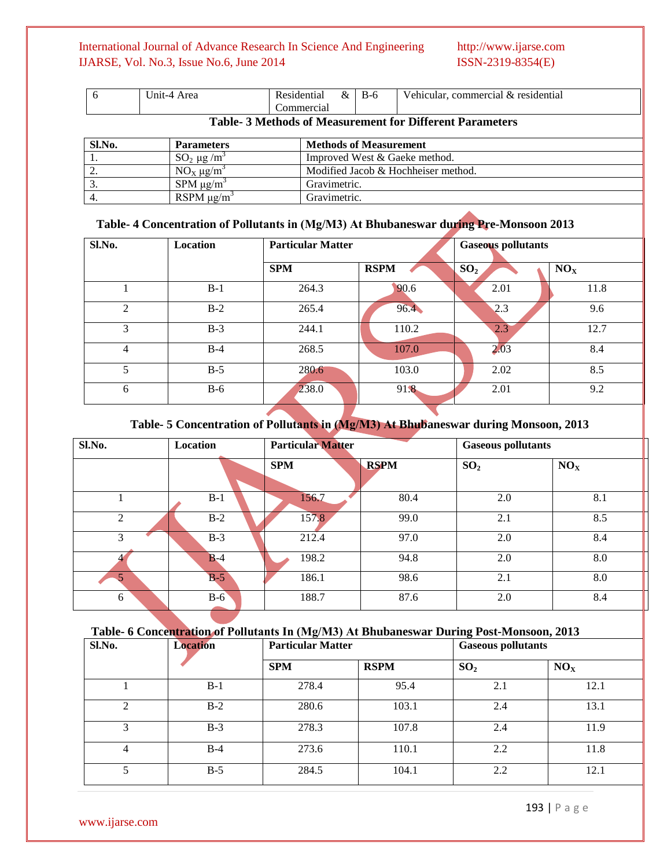|                                                                           | Jnit-4<br>Area | $\sqrt{ }$<br>Residential<br>nercial<br>∩m | α | $B-t$ | $\mathbf{v}$<br>' & residential<br>Vehicular<br>commercial |
|---------------------------------------------------------------------------|----------------|--------------------------------------------|---|-------|------------------------------------------------------------|
| $\pi$ if $\alpha$ is a set of $\alpha$ if $\alpha$ is the set of $\alpha$ |                |                                            |   |       |                                                            |

#### **Table- 3 Methods of Measurement for Different Parameters**

| Sl.No. | <b>Parameters</b>           | <b>Methods of Measurement</b>       |
|--------|-----------------------------|-------------------------------------|
|        | $SO_2 \mu g/m^3$            | Improved West & Gaeke method.       |
| ، ت    | $NOx \mu g/m3$              | Modified Jacob & Hochheiser method. |
|        | $SPM \mu g/m^3$             | Gravimetric.                        |
|        | RSPM $\mu$ g/m <sup>3</sup> | Gravimetric.                        |

### **Table- 4 Concentration of Pollutants in (Μg/M3) At Bhubaneswar during Pre-Monsoon 2013**

| Sl.No.         | <b>Location</b> | <b>Particular Matter</b> |             | <b>Gaseous pollutants</b> |                 |  |
|----------------|-----------------|--------------------------|-------------|---------------------------|-----------------|--|
|                |                 | <b>SPM</b>               | <b>RSPM</b> | SO <sub>2</sub>           | NO <sub>x</sub> |  |
|                | $B-1$           | 264.3                    | 90.6        | 2.01                      | 11.8            |  |
| $\mathfrak{D}$ | $B-2$           | 265.4                    | 96.4        | 2.3                       | 9.6             |  |
| 3              | $B-3$           | 244.1                    | 110.2       | 2.3                       | 12.7            |  |
| 4              | $B-4$           | 268.5                    | 107.0       | 2.03                      | 8.4             |  |
| 5              | $B-5$           | 280.6                    | 103.0       | 2.02                      | 8.5             |  |
| 6              | $B-6$           | 238.0                    | 91.8        | 2.01                      | 9.2             |  |

# **Table- 5 Concentration of Pollutants in (Μg/M3) At Bhubaneswar during Monsoon, 2013**

| Sl.No. | Location | <b>Particular Matter</b> |             | <b>Gaseous pollutants</b> |                 |
|--------|----------|--------------------------|-------------|---------------------------|-----------------|
|        |          | <b>SPM</b>               | <b>RSPM</b> | SO <sub>2</sub>           | NO <sub>X</sub> |
|        | $B-1$    | 156.7                    | 80.4        | 2.0                       | 8.1             |
| 2      | $B-2$    | 157.8                    | 99.0        | 2.1                       | 8.5             |
| 3      | $B-3$    | 212.4                    | 97.0        | 2.0                       | 8.4             |
|        | $B-4$    | 198.2                    | 94.8        | 2.0                       | 8.0             |
|        | $B-5$    | 186.1                    | 98.6        | 2.1                       | 8.0             |
| 6      | $B-6$    | 188.7                    | 87.6        | 2.0                       | 8.4             |

### **Table- 6 Concentration of Pollutants In (Μg/M3) At Bhubaneswar During Post-Monsoon, 2013**

| Sl.No.         | <b>Location</b> | <b>Particular Matter</b> |             | <b>Gaseous pollutants</b> |                 |  |
|----------------|-----------------|--------------------------|-------------|---------------------------|-----------------|--|
|                |                 | <b>SPM</b>               | <b>RSPM</b> | SO <sub>2</sub>           | NO <sub>x</sub> |  |
|                | $B-1$           | 278.4                    | 95.4        | 2.1                       | 12.1            |  |
| $\mathfrak{D}$ | $B-2$           | 280.6                    | 103.1       | 2.4                       | 13.1            |  |
| 3              | $B-3$           | 278.3                    | 107.8       | 2.4                       | 11.9            |  |
| 4              | $B-4$           | 273.6                    | 110.1       | 2.2                       | 11.8            |  |
| $5^{\circ}$    | $B-5$           | 284.5                    | 104.1       | 2.2                       | 12.1            |  |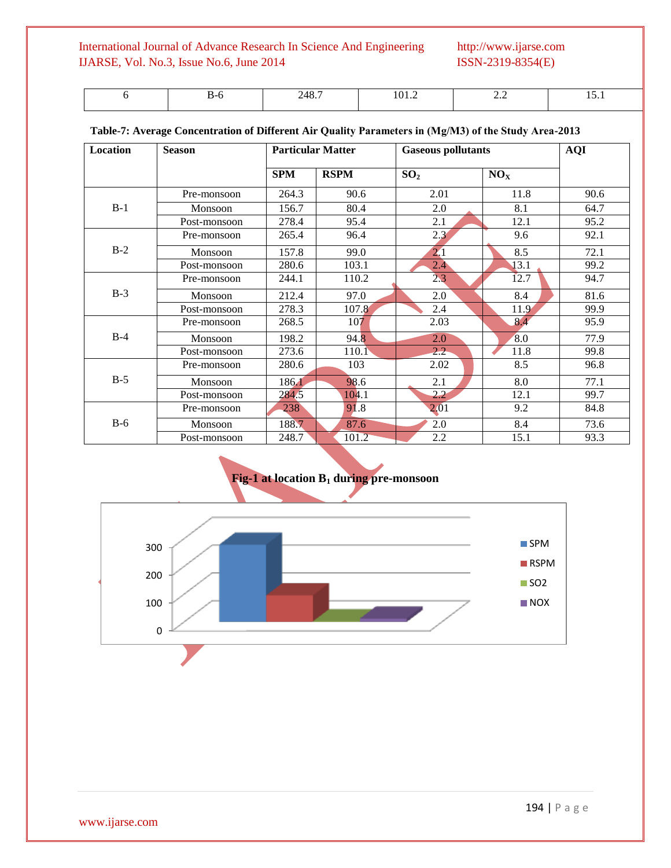|  | $\sqrt{1}$<br>.o.<br>- | 1 V 1 1 4 | $\overline{\phantom{a}}$ |  |
|--|------------------------|-----------|--------------------------|--|
|  |                        |           |                          |  |

| Location | <b>Season</b> | <b>Particular Matter</b> |             | <b>Gaseous pollutants</b> | <b>AQI</b>      |      |
|----------|---------------|--------------------------|-------------|---------------------------|-----------------|------|
|          |               | <b>SPM</b>               | <b>RSPM</b> | SO <sub>2</sub>           | NO <sub>X</sub> |      |
|          | Pre-monsoon   | 264.3                    | 90.6        | 2.01                      | 11.8            | 90.6 |
| $B-1$    | Monsoon       | 156.7                    | 80.4        | 2.0                       | 8.1             | 64.7 |
|          | Post-monsoon  | 278.4                    | 95.4        | 2.1                       | 12.1            | 95.2 |
|          | Pre-monsoon   | 265.4                    | 96.4        | 2.3                       | 9.6             | 92.1 |
| $B-2$    | Monsoon       | 157.8                    | 99.0        | 2.1                       | 8.5             | 72.1 |
|          | Post-monsoon  | 280.6                    | 103.1       | $2.4^{\circ}$             | 13.1            | 99.2 |
|          | Pre-monsoon   | 244.1                    | 110.2       | 2.3                       | 12.7            | 94.7 |
| $B-3$    | Monsoon       | 212.4                    | 97.0        | 2.0                       | 8.4             | 81.6 |
|          | Post-monsoon  | 278.3                    | 107.8       | 2.4                       | 11.9            | 99.9 |
|          | Pre-monsoon   | 268.5                    | 107         | 2.03                      | 8.4             | 95.9 |
| $B-4$    | Monsoon       | 198.2                    | 94.8        | 2.0                       | 8.0             | 77.9 |
|          | Post-monsoon  | 273.6                    | 110.1       | $2.2^{\circ}$             | 11.8            | 99.8 |
|          | Pre-monsoon   | 280.6                    | 103         | 2.02                      | 8.5             | 96.8 |
| $B-5$    | Monsoon       | 186.1                    | 98.6        | 2.1                       | 8.0             | 77.1 |
|          | Post-monsoon  | 284.5                    | 104.1       | 2.2                       | 12.1            | 99.7 |
| $B-6$    | Pre-monsoon   | 238                      | 91.8        | 2.01                      | 9.2             | 84.8 |
|          | Monsoon       | 188.7                    | 87.6        | 2.0                       | 8.4             | 73.6 |
|          | Post-monsoon  | 248.7                    | 101.2       | 2.2                       | 15.1            | 93.3 |

### **Table-7: Average Concentration of Different Air Quality Parameters in (Μg/M3) of the Study Area-2013**

# **Fig-1 at location B<sup>1</sup> during pre-monsoon**

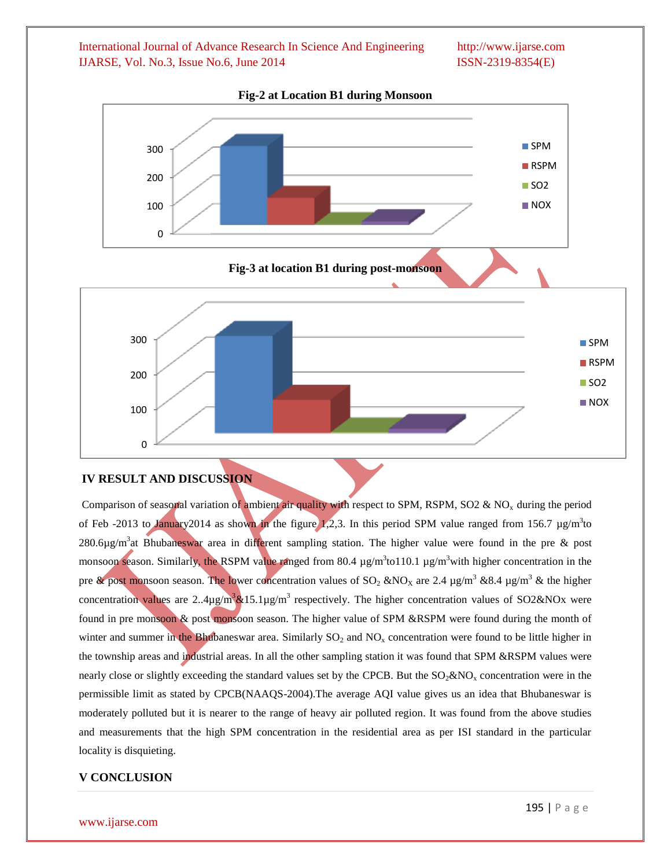

#### **Fig-2 at Location B1 during Monsoon**

### **IV RESULT AND DISCUSSION**

Comparison of seasonal variation of ambient air quality with respect to SPM, RSPM, SO2 & NO<sub>x</sub> during the period of Feb -2013 to January2014 as shown in the figure 1,2,3. In this period SPM value ranged from 156.7  $\mu$ g/m<sup>3</sup>to 280.6µg/m<sup>3</sup>at Bhubaneswar area in different sampling station. The higher value were found in the pre & post monsoon season. Similarly, the RSPM value ranged from 80.4  $\mu$ g/m<sup>3</sup>to110.1  $\mu$ g/m<sup>3</sup>with higher concentration in the pre & post monsoon season. The lower concentration values of SO<sub>2</sub> &NO<sub>X</sub> are 2.4  $\mu$ g/m<sup>3</sup> &8.4  $\mu$ g/m<sup>3</sup> & the higher concentration values are 2..4 $\mu$ g/m<sup>3</sup>&15.1 $\mu$ g/m<sup>3</sup> respectively. The higher concentration values of SO2&NOx were found in pre monsoon & post monsoon season. The higher value of SPM &RSPM were found during the month of winter and summer in the Bhubaneswar area. Similarly  $SO_2$  and  $NO<sub>x</sub>$  concentration were found to be little higher in the township areas and industrial areas. In all the other sampling station it was found that SPM &RSPM values were nearly close or slightly exceeding the standard values set by the CPCB. But the  $SO_2\&NO<sub>x</sub>$  concentration were in the permissible limit as stated by CPCB(NAAQS-2004).The average AQI value gives us an idea that Bhubaneswar is moderately polluted but it is nearer to the range of heavy air polluted region. It was found from the above studies and measurements that the high SPM concentration in the residential area as per ISI standard in the particular locality is disquieting.

### **V CONCLUSION**